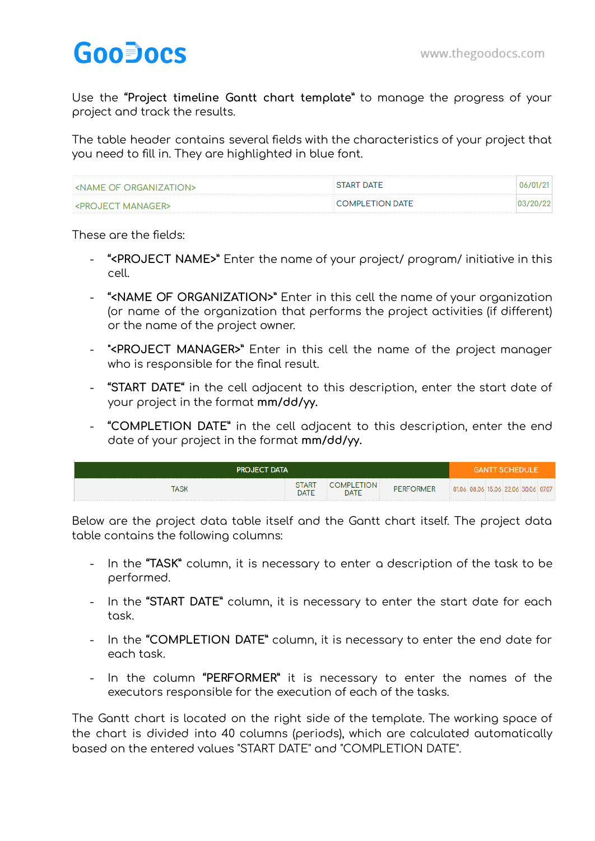## **GooDocs**

Use the **"Project timeline Gantt chart template"** to manage the progress of your project and track the results.

The table header contains several fields with the characteristics of your project that you need to fill in. They are highlighted in blue font.

| <b>CONTRACT OF ORGANIZATIONS</b> | <b>START DATE</b>      | 06/01/21  |
|----------------------------------|------------------------|-----------|
| <project manager=""></project>   | <b>COMPLETION DATE</b> | 03/20/221 |

## These are the fields:

- **"<PROJECT NAME>"** Enter the name of your project/ program/ initiative in this cell.
- **"<NAME OF ORGANIZATION>"** Enter in this cell the name of your organization (or name of the organization that performs the project activities (if different) or the name of the project owner.
- **"<PROJECT MANAGER>"** Enter in this cell the name of the project manager who is responsible for the final result.
- **"START DATE"** in the cell adjacent to this description, enter the start date of your project in the format **mm/dd/yy.**
- **"COMPLETION DATE"** in the cell adjacent to this description, enter the end date of your project in the format **mm/dd/yy.**

| <b>PROJECT DATA</b> | <b>GANTT SCHEDULE</b> |                          |                  |                                     |  |
|---------------------|-----------------------|--------------------------|------------------|-------------------------------------|--|
| ASK                 | <b>START</b><br>DATE  | OMPLETION<br><b>DATE</b> | <b>PERFORMER</b> | 01.06 08.06 15.06 22.06 30.06 07.07 |  |

Below are the project data table itself and the Gantt chart itself. The project data table contains the following columns:

- In the **"TASK"** column, it is necessary to enter a description of the task to be performed.
- In the **"START DATE"** column, it is necessary to enter the start date for each task.
- In the **"COMPLETION DATE"** column, it is necessary to enter the end date for each task.
- In the column **"PERFORMER"** it is necessary to enter the names of the executors responsible for the execution of each of the tasks.

The Gantt chart is located on the right side of the template. The working space of the chart is divided into 40 columns (periods), which are calculated automatically based on the entered values "START DATE" and "COMPLETION DATE".